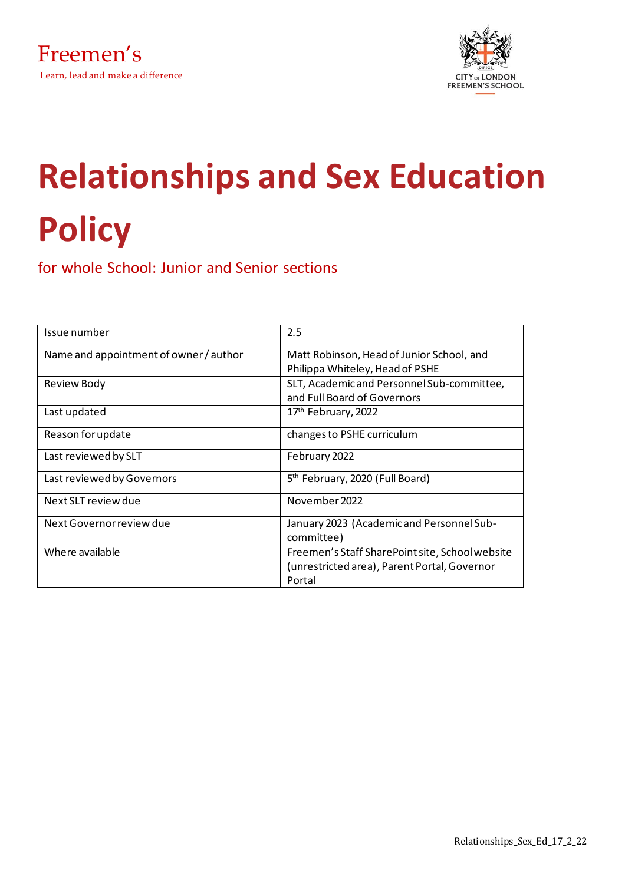

# **Relationships and Sex Education Policy**

for whole School: Junior and Senior sections

| Issue number                           | 2.5                                                     |
|----------------------------------------|---------------------------------------------------------|
| Name and appointment of owner / author | Matt Robinson, Head of Junior School, and               |
|                                        | Philippa Whiteley, Head of PSHE                         |
| <b>Review Body</b>                     | SLT, Academic and Personnel Sub-committee,              |
|                                        | and Full Board of Governors                             |
| Last updated                           | 17th February, 2022                                     |
| Reason for update                      | changes to PSHE curriculum                              |
| Last reviewed by SLT                   | February 2022                                           |
| Last reviewed by Governors             | 5 <sup>th</sup> February, 2020 (Full Board)             |
| Next SLT review due                    | November 2022                                           |
| Next Governor review due               | January 2023 (Academic and Personnel Sub-<br>committee) |
| Where available                        | Freemen's Staff SharePoint site, School website         |
|                                        | (unrestricted area), Parent Portal, Governor            |
|                                        | Portal                                                  |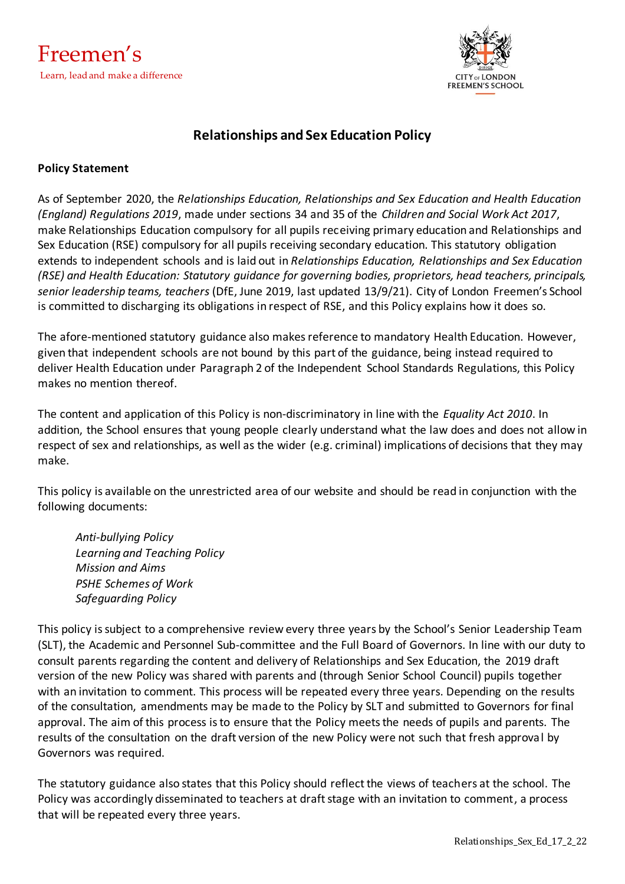

# **Relationships and Sex Education Policy**

### **Policy Statement**

As of September 2020, the *Relationships Education, Relationships and Sex Education and Health Education (England) Regulations 2019*, made under sections 34 and 35 of the *Children and Social Work Act 2017*, make Relationships Education compulsory for all pupils receiving primary education and Relationships and Sex Education (RSE) compulsory for all pupils receiving secondary education. This statutory obligation extends to independent schools and is laid out in *Relationships Education, Relationships and Sex Education (RSE) and Health Education: Statutory guidance for governing bodies, proprietors, head teachers, principals, senior leadership teams, teachers* (DfE, June 2019, last updated 13/9/21). City of London Freemen's School is committed to discharging its obligations in respect of RSE, and this Policy explains how it does so.

The afore-mentioned statutory guidance also makes reference to mandatory Health Education. However, given that independent schools are not bound by this part of the guidance, being instead required to deliver Health Education under Paragraph 2 of the Independent School Standards Regulations, this Policy makes no mention thereof.

The content and application of this Policy is non-discriminatory in line with the *Equality Act 2010*. In addition, the School ensures that young people clearly understand what the law does and does not allow in respect of sex and relationships, as well as the wider (e.g. criminal) implications of decisions that they may make.

This policy is available on the unrestricted area of our website and should be read in conjunction with the following documents:

*Anti-bullying Policy Learning and Teaching Policy Mission and Aims PSHE Schemes of Work Safeguarding Policy*

This policy is subject to a comprehensive review every three years by the School's Senior Leadership Team (SLT), the Academic and Personnel Sub-committee and the Full Board of Governors. In line with our duty to consult parents regarding the content and delivery of Relationships and Sex Education, the 2019 draft version of the new Policy was shared with parents and (through Senior School Council) pupils together with an invitation to comment. This process will be repeated every three years. Depending on the results of the consultation, amendments may be made to the Policy by SLT and submitted to Governors for final approval. The aim of this process is to ensure that the Policy meets the needs of pupils and parents. The results of the consultation on the draft version of the new Policy were not such that fresh approval by Governors was required.

The statutory guidance also states that this Policy should reflect the views of teachers at the school. The Policy was accordingly disseminated to teachers at draft stage with an invitation to comment, a process that will be repeated every three years.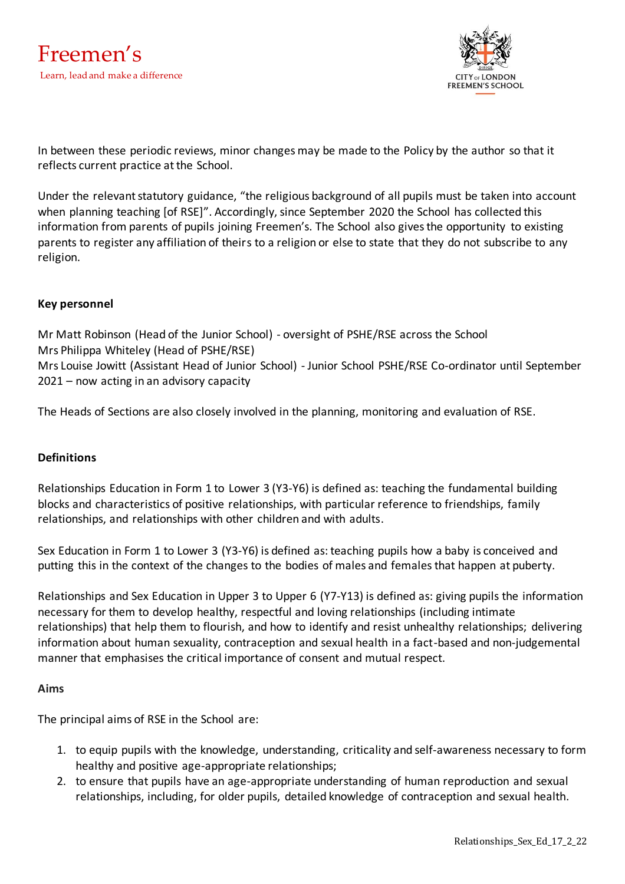

In between these periodic reviews, minor changes may be made to the Policy by the author so that it reflects current practice at the School.

Under the relevant statutory guidance, "the religious background of all pupils must be taken into account when planning teaching [of RSE]". Accordingly, since September 2020 the School has collected this information from parents of pupils joining Freemen's. The School also gives the opportunity to existing parents to register any affiliation of theirs to a religion or else to state that they do not subscribe to any religion.

## **Key personnel**

Mr Matt Robinson (Head of the Junior School) - oversight of PSHE/RSE across the School Mrs Philippa Whiteley (Head of PSHE/RSE) Mrs Louise Jowitt (Assistant Head of Junior School) - Junior School PSHE/RSE Co-ordinator until September 2021 – now acting in an advisory capacity

The Heads of Sections are also closely involved in the planning, monitoring and evaluation of RSE.

## **Definitions**

Relationships Education in Form 1 to Lower 3 (Y3-Y6) is defined as: teaching the fundamental building blocks and characteristics of positive relationships, with particular reference to friendships, family relationships, and relationships with other children and with adults.

Sex Education in Form 1 to Lower 3 (Y3-Y6) is defined as: teaching pupils how a baby is conceived and putting this in the context of the changes to the bodies of males and females that happen at puberty.

Relationships and Sex Education in Upper 3 to Upper 6 (Y7-Y13) is defined as: giving pupils the information necessary for them to develop healthy, respectful and loving relationships (including intimate relationships) that help them to flourish, and how to identify and resist unhealthy relationships; delivering information about human sexuality, contraception and sexual health in a fact-based and non-judgemental manner that emphasises the critical importance of consent and mutual respect.

#### **Aims**

The principal aims of RSE in the School are:

- 1. to equip pupils with the knowledge, understanding, criticality and self-awareness necessary to form healthy and positive age-appropriate relationships;
- 2. to ensure that pupils have an age-appropriate understanding of human reproduction and sexual relationships, including, for older pupils, detailed knowledge of contraception and sexual health.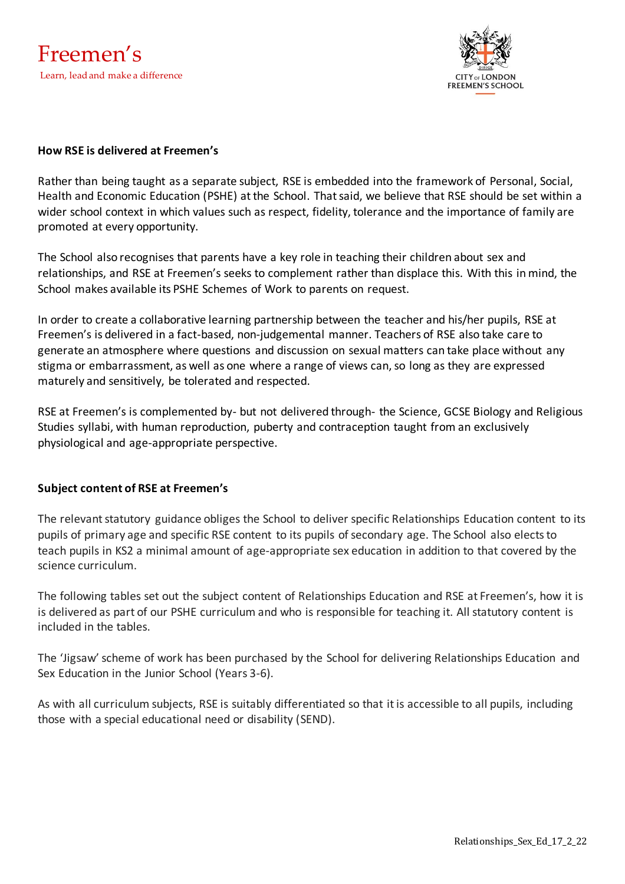

### **How RSE is delivered at Freemen's**

Rather than being taught as a separate subject, RSE is embedded into the framework of Personal, Social, Health and Economic Education (PSHE) at the School. That said, we believe that RSE should be set within a wider school context in which values such as respect, fidelity, tolerance and the importance of family are promoted at every opportunity.

The School also recognises that parents have a key role in teaching their children about sex and relationships, and RSE at Freemen's seeks to complement rather than displace this. With this in mind, the School makes available its PSHE Schemes of Work to parents on request.

In order to create a collaborative learning partnership between the teacher and his/her pupils, RSE at Freemen's is delivered in a fact-based, non-judgemental manner. Teachers of RSE also take care to generate an atmosphere where questions and discussion on sexual matters can take place without any stigma or embarrassment, as well as one where a range of views can, so long as they are expressed maturely and sensitively, be tolerated and respected.

RSE at Freemen's is complemented by- but not delivered through- the Science, GCSE Biology and Religious Studies syllabi, with human reproduction, puberty and contraception taught from an exclusively physiological and age-appropriate perspective.

## **Subject content of RSE at Freemen's**

The relevant statutory guidance obliges the School to deliver specific Relationships Education content to its pupils of primary age and specific RSE content to its pupils of secondary age. The School also elects to teach pupils in KS2 a minimal amount of age-appropriate sex education in addition to that covered by the science curriculum.

The following tables set out the subject content of Relationships Education and RSE at Freemen's, how it is is delivered as part of our PSHE curriculum and who is responsible for teaching it. All statutory content is included in the tables.

The 'Jigsaw' scheme of work has been purchased by the School for delivering Relationships Education and Sex Education in the Junior School (Years 3-6).

As with all curriculum subjects, RSE is suitably differentiated so that it is accessible to all pupils, including those with a special educational need or disability (SEND).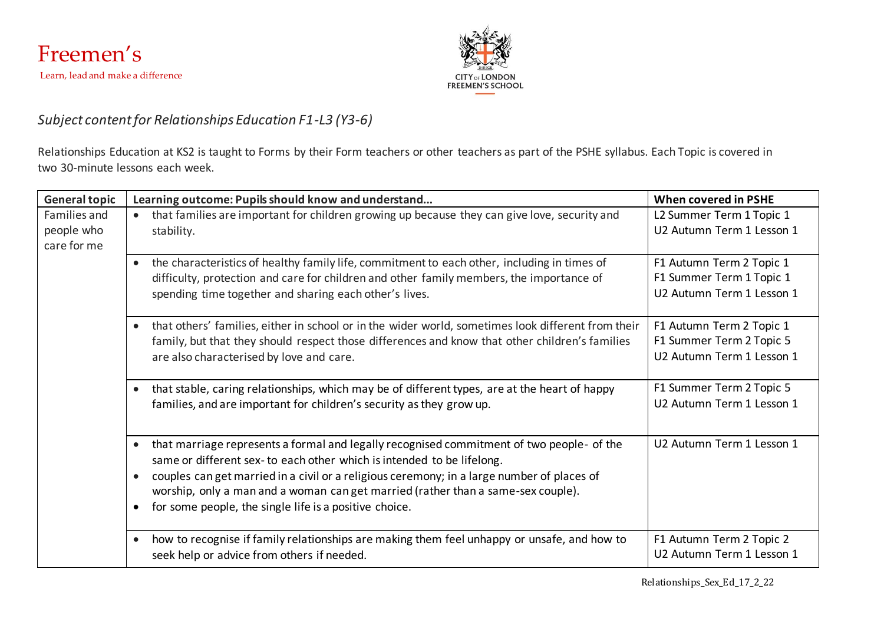



# *Subject content for Relationships Education F1-L3 (Y3-6)*

Relationships Education at KS2 is taught to Forms by their Form teachers or other teachers as part of the PSHE syllabus. Each Topic is covered in two 30-minute lessons each week.

| <b>General topic</b>                      | Learning outcome: Pupils should know and understand                                                                                                                                                                                                                                                                                                                                                                          | <b>When covered in PSHE</b>                                                       |
|-------------------------------------------|------------------------------------------------------------------------------------------------------------------------------------------------------------------------------------------------------------------------------------------------------------------------------------------------------------------------------------------------------------------------------------------------------------------------------|-----------------------------------------------------------------------------------|
| Families and<br>people who<br>care for me | that families are important for children growing up because they can give love, security and<br>stability.                                                                                                                                                                                                                                                                                                                   | L2 Summer Term 1 Topic 1<br>U2 Autumn Term 1 Lesson 1                             |
|                                           | the characteristics of healthy family life, commitment to each other, including in times of<br>$\bullet$<br>difficulty, protection and care for children and other family members, the importance of<br>spending time together and sharing each other's lives.                                                                                                                                                               | F1 Autumn Term 2 Topic 1<br>F1 Summer Term 1 Topic 1<br>U2 Autumn Term 1 Lesson 1 |
|                                           | that others' families, either in school or in the wider world, sometimes look different from their<br>family, but that they should respect those differences and know that other children's families<br>are also characterised by love and care.                                                                                                                                                                             | F1 Autumn Term 2 Topic 1<br>F1 Summer Term 2 Topic 5<br>U2 Autumn Term 1 Lesson 1 |
|                                           | that stable, caring relationships, which may be of different types, are at the heart of happy<br>$\bullet$<br>families, and are important for children's security as they grow up.                                                                                                                                                                                                                                           | F1 Summer Term 2 Topic 5<br>U2 Autumn Term 1 Lesson 1                             |
|                                           | that marriage represents a formal and legally recognised commitment of two people- of the<br>$\bullet$<br>same or different sex- to each other which is intended to be lifelong.<br>couples can get married in a civil or a religious ceremony; in a large number of places of<br>worship, only a man and a woman can get married (rather than a same-sex couple).<br>for some people, the single life is a positive choice. | U2 Autumn Term 1 Lesson 1                                                         |
|                                           | how to recognise if family relationships are making them feel unhappy or unsafe, and how to<br>$\bullet$<br>seek help or advice from others if needed.                                                                                                                                                                                                                                                                       | F1 Autumn Term 2 Topic 2<br>U2 Autumn Term 1 Lesson 1                             |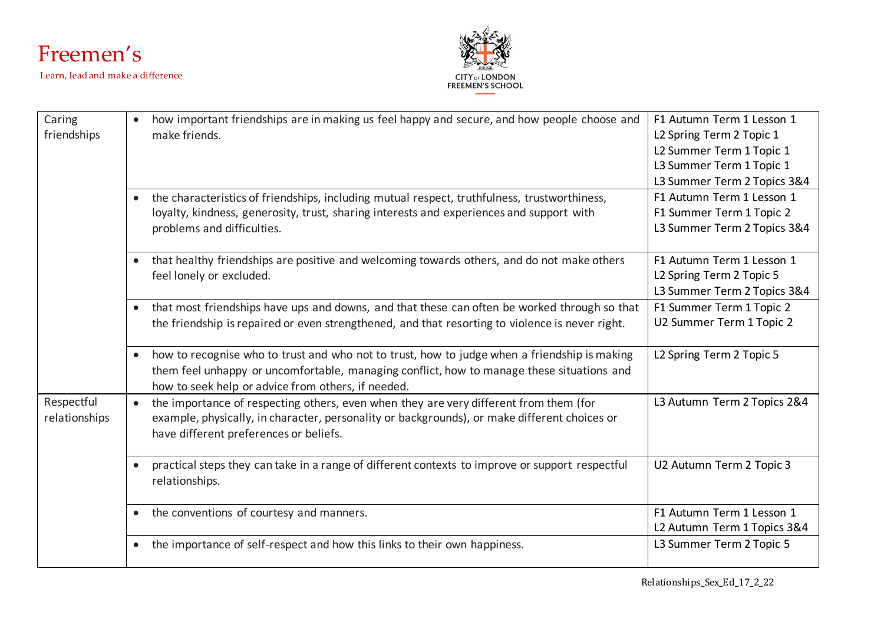



| Caring        | how important friendships are in making us feel happy and secure, and how people choose and<br>$\bullet$     | F1 Autumn Term 1 Lesson 1   |
|---------------|--------------------------------------------------------------------------------------------------------------|-----------------------------|
| friendships   | make friends.                                                                                                | L2 Spring Term 2 Topic 1    |
|               |                                                                                                              | L2 Summer Term 1 Topic 1    |
|               |                                                                                                              | L3 Summer Term 1 Topic 1    |
|               |                                                                                                              | L3 Summer Term 2 Topics 3&4 |
|               | the characteristics of friendships, including mutual respect, truthfulness, trustworthiness,                 | F1 Autumn Term 1 Lesson 1   |
|               | loyalty, kindness, generosity, trust, sharing interests and experiences and support with                     | F1 Summer Term 1 Topic 2    |
|               | problems and difficulties.                                                                                   | L3 Summer Term 2 Topics 3&4 |
|               |                                                                                                              |                             |
|               | that healthy friendships are positive and welcoming towards others, and do not make others<br>$\bullet$      | F1 Autumn Term 1 Lesson 1   |
|               | feel lonely or excluded.                                                                                     | L2 Spring Term 2 Topic 5    |
|               |                                                                                                              | L3 Summer Term 2 Topics 3&4 |
|               | that most friendships have ups and downs, and that these can often be worked through so that<br>$\bullet$    | F1 Summer Term 1 Topic 2    |
|               | the friendship is repaired or even strengthened, and that resorting to violence is never right.              | U2 Summer Term 1 Topic 2    |
|               |                                                                                                              |                             |
|               | how to recognise who to trust and who not to trust, how to judge when a friendship is making<br>$\bullet$    | L2 Spring Term 2 Topic 5    |
|               | them feel unhappy or uncomfortable, managing conflict, how to manage these situations and                    |                             |
|               | how to seek help or advice from others, if needed.                                                           |                             |
| Respectful    | the importance of respecting others, even when they are very different from them (for<br>$\bullet$           | L3 Autumn Term 2 Topics 2&4 |
| relationships | example, physically, in character, personality or backgrounds), or make different choices or                 |                             |
|               | have different preferences or beliefs.                                                                       |                             |
|               |                                                                                                              |                             |
|               | practical steps they can take in a range of different contexts to improve or support respectful<br>$\bullet$ | U2 Autumn Term 2 Topic 3    |
|               | relationships.                                                                                               |                             |
|               |                                                                                                              |                             |
|               | the conventions of courtesy and manners.<br>$\bullet$                                                        | F1 Autumn Term 1 Lesson 1   |
|               |                                                                                                              | L2 Autumn Term 1 Topics 3&4 |
|               | the importance of self-respect and how this links to their own happiness.<br>$\bullet$                       | L3 Summer Term 2 Topic 5    |
|               |                                                                                                              |                             |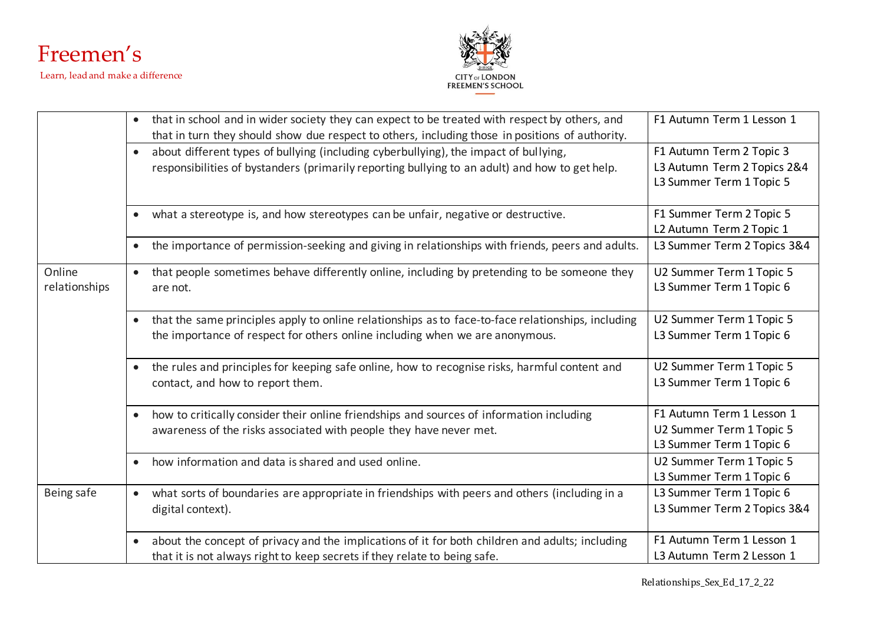



|               | that in school and in wider society they can expect to be treated with respect by others, and<br>$\bullet$    | F1 Autumn Term 1 Lesson 1   |
|---------------|---------------------------------------------------------------------------------------------------------------|-----------------------------|
|               | that in turn they should show due respect to others, including those in positions of authority.               |                             |
|               | about different types of bullying (including cyberbullying), the impact of bullying,<br>$\bullet$             | F1 Autumn Term 2 Topic 3    |
|               | responsibilities of bystanders (primarily reporting bullying to an adult) and how to get help.                | L3 Autumn Term 2 Topics 2&4 |
|               |                                                                                                               | L3 Summer Term 1 Topic 5    |
|               |                                                                                                               |                             |
|               | what a stereotype is, and how stereotypes can be unfair, negative or destructive.<br>$\bullet$                | F1 Summer Term 2 Topic 5    |
|               |                                                                                                               | L2 Autumn Term 2 Topic 1    |
|               | the importance of permission-seeking and giving in relationships with friends, peers and adults.<br>$\bullet$ | L3 Summer Term 2 Topics 3&4 |
| Online        | that people sometimes behave differently online, including by pretending to be someone they<br>$\bullet$      | U2 Summer Term 1 Topic 5    |
| relationships | are not.                                                                                                      | L3 Summer Term 1 Topic 6    |
|               |                                                                                                               |                             |
|               | that the same principles apply to online relationships as to face-to-face relationships, including            | U2 Summer Term 1 Topic 5    |
|               | the importance of respect for others online including when we are anonymous.                                  | L3 Summer Term 1 Topic 6    |
|               |                                                                                                               |                             |
|               | the rules and principles for keeping safe online, how to recognise risks, harmful content and<br>$\bullet$    | U2 Summer Term 1 Topic 5    |
|               | contact, and how to report them.                                                                              | L3 Summer Term 1 Topic 6    |
|               |                                                                                                               |                             |
|               | how to critically consider their online friendships and sources of information including<br>$\bullet$         | F1 Autumn Term 1 Lesson 1   |
|               | awareness of the risks associated with people they have never met.                                            | U2 Summer Term 1 Topic 5    |
|               |                                                                                                               | L3 Summer Term 1 Topic 6    |
|               | how information and data is shared and used online.<br>$\bullet$                                              | U2 Summer Term 1 Topic 5    |
|               |                                                                                                               | L3 Summer Term 1 Topic 6    |
| Being safe    | what sorts of boundaries are appropriate in friendships with peers and others (including in a<br>$\bullet$    | L3 Summer Term 1 Topic 6    |
|               | digital context).                                                                                             | L3 Summer Term 2 Topics 3&4 |
|               |                                                                                                               |                             |
|               | about the concept of privacy and the implications of it for both children and adults; including<br>$\bullet$  | F1 Autumn Term 1 Lesson 1   |
|               | that it is not always right to keep secrets if they relate to being safe.                                     | L3 Autumn Term 2 Lesson 1   |
|               |                                                                                                               |                             |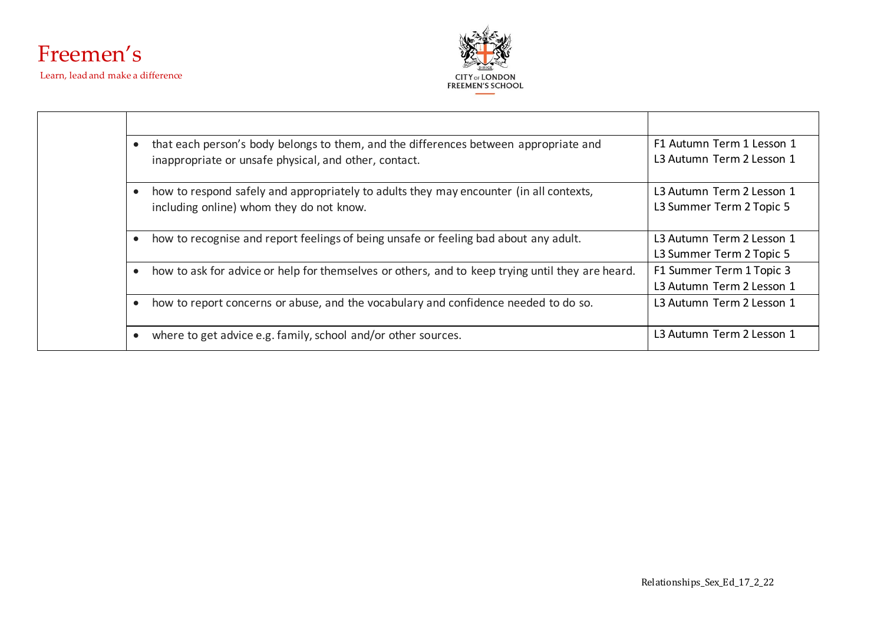



| that each person's body belongs to them, and the differences between appropriate and             | F1 Autumn Term 1 Lesson 1 |
|--------------------------------------------------------------------------------------------------|---------------------------|
| inappropriate or unsafe physical, and other, contact.                                            | L3 Autumn Term 2 Lesson 1 |
| how to respond safely and appropriately to adults they may encounter (in all contexts,           | L3 Autumn Term 2 Lesson 1 |
| including online) whom they do not know.                                                         | L3 Summer Term 2 Topic 5  |
| how to recognise and report feelings of being unsafe or feeling bad about any adult.             | L3 Autumn Term 2 Lesson 1 |
|                                                                                                  | L3 Summer Term 2 Topic 5  |
| how to ask for advice or help for themselves or others, and to keep trying until they are heard. | F1 Summer Term 1 Topic 3  |
|                                                                                                  | L3 Autumn Term 2 Lesson 1 |
| how to report concerns or abuse, and the vocabulary and confidence needed to do so.              | L3 Autumn Term 2 Lesson 1 |
| where to get advice e.g. family, school and/or other sources.                                    | L3 Autumn Term 2 Lesson 1 |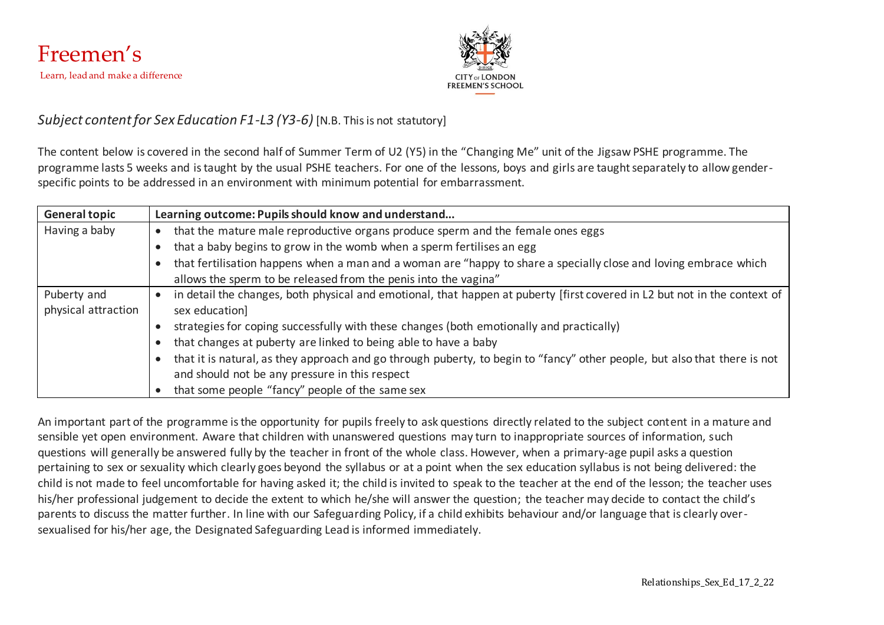

## *Subject content for Sex Education F1-L3 (Y3-6)* [N.B. This is not statutory]

The content below is covered in the second half of Summer Term of U2 (Y5) in the "Changing Me" unit of the Jigsaw PSHE programme. The programme lasts 5 weeks and is taught by the usual PSHE teachers. For one of the lessons, boys and girls are taught separately to allow genderspecific points to be addressed in an environment with minimum potential for embarrassment.

| <b>General topic</b> | Learning outcome: Pupils should know and understand                                                                       |  |
|----------------------|---------------------------------------------------------------------------------------------------------------------------|--|
| Having a baby        | that the mature male reproductive organs produce sperm and the female ones eggs                                           |  |
|                      | that a baby begins to grow in the womb when a sperm fertilises an egg                                                     |  |
|                      | that fertilisation happens when a man and a woman are "happy to share a specially close and loving embrace which          |  |
|                      | allows the sperm to be released from the penis into the vagina"                                                           |  |
| Puberty and          | in detail the changes, both physical and emotional, that happen at puberty [first covered in L2 but not in the context of |  |
| physical attraction  | sex education]                                                                                                            |  |
|                      | strategies for coping successfully with these changes (both emotionally and practically)                                  |  |
|                      | that changes at puberty are linked to being able to have a baby                                                           |  |
|                      | that it is natural, as they approach and go through puberty, to begin to "fancy" other people, but also that there is not |  |
|                      | and should not be any pressure in this respect                                                                            |  |
|                      | that some people "fancy" people of the same sex                                                                           |  |

An important part of the programme is the opportunity for pupils freely to ask questions directly related to the subject content in a mature and sensible yet open environment. Aware that children with unanswered questions may turn to inappropriate sources of information, such questions will generally be answered fully by the teacher in front of the whole class. However, when a primary-age pupil asks a question pertaining to sex or sexuality which clearly goes beyond the syllabus or at a point when the sex education syllabus is not being delivered: the child is not made to feel uncomfortable for having asked it; the child is invited to speak to the teacher at the end of the lesson; the teacher uses his/her professional judgement to decide the extent to which he/she will answer the question; the teacher may decide to contact the child's parents to discuss the matter further. In line with our Safeguarding Policy, if a child exhibits behaviour and/or language that is clearly oversexualised for his/her age, the Designated Safeguarding Lead is informed immediately.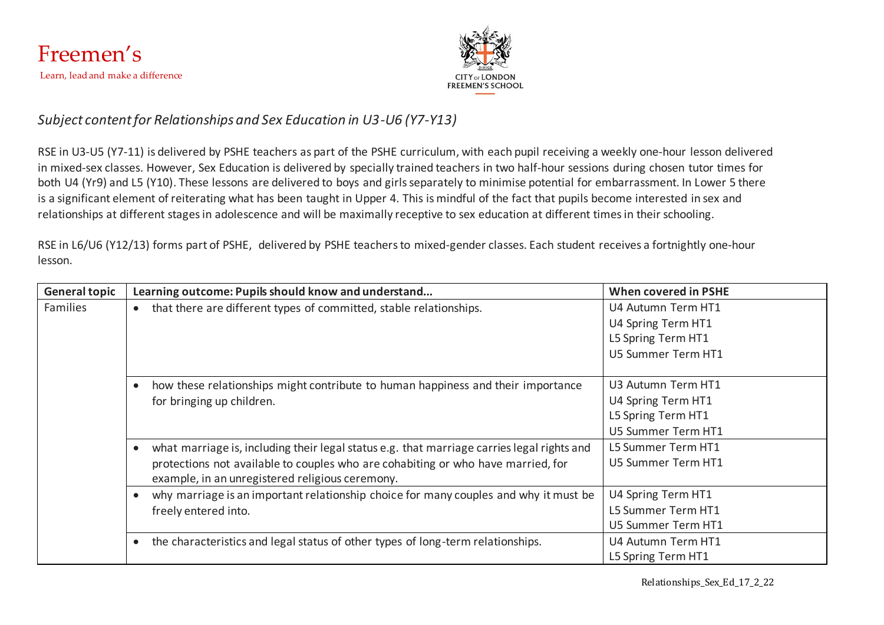



# *Subject content for Relationships and Sex Education in U3-U6 (Y7-Y13)*

RSE in U3-U5 (Y7-11) is delivered by PSHE teachers as part of the PSHE curriculum, with each pupil receiving a weekly one-hour lesson delivered in mixed-sex classes. However, Sex Education is delivered by specially trained teachers in two half-hour sessions during chosen tutor times for both U4 (Yr9) and L5 (Y10). These lessons are delivered to boys and girls separately to minimise potential for embarrassment. In Lower 5 there is a significant element of reiterating what has been taught in Upper 4. This is mindful of the fact that pupils become interested in sex and relationships at different stages in adolescence and will be maximally receptive to sex education at different times in their schooling.

RSE in L6/U6 (Y12/13) forms part of PSHE, delivered by PSHE teachers to mixed-gender classes. Each student receives a fortnightly one-hour lesson.

| <b>General topic</b> | Learning outcome: Pupils should know and understand                                                     | <b>When covered in PSHE</b> |
|----------------------|---------------------------------------------------------------------------------------------------------|-----------------------------|
| Families             | that there are different types of committed, stable relationships.<br>$\bullet$                         | U4 Autumn Term HT1          |
|                      |                                                                                                         | U4 Spring Term HT1          |
|                      |                                                                                                         | L5 Spring Term HT1          |
|                      |                                                                                                         | U5 Summer Term HT1          |
|                      |                                                                                                         |                             |
|                      | how these relationships might contribute to human happiness and their importance                        | U3 Autumn Term HT1          |
|                      | for bringing up children.                                                                               | U4 Spring Term HT1          |
|                      |                                                                                                         | L5 Spring Term HT1          |
|                      |                                                                                                         | U5 Summer Term HT1          |
|                      | what marriage is, including their legal status e.g. that marriage carries legal rights and<br>$\bullet$ | L5 Summer Term HT1          |
|                      | protections not available to couples who are cohabiting or who have married, for                        | U5 Summer Term HT1          |
|                      | example, in an unregistered religious ceremony.                                                         |                             |
|                      | why marriage is an important relationship choice for many couples and why it must be                    | U4 Spring Term HT1          |
|                      | freely entered into.                                                                                    | L5 Summer Term HT1          |
|                      |                                                                                                         | U5 Summer Term HT1          |
|                      | the characteristics and legal status of other types of long-term relationships.                         | U4 Autumn Term HT1          |
|                      |                                                                                                         | L5 Spring Term HT1          |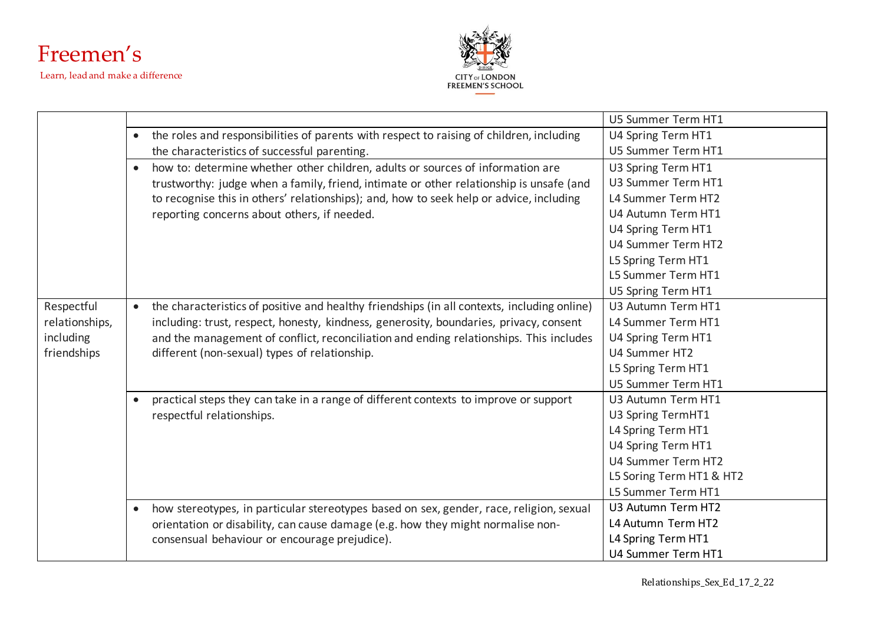



|                |           |                                                                                             | U5 Summer Term HT1       |
|----------------|-----------|---------------------------------------------------------------------------------------------|--------------------------|
|                | $\bullet$ | the roles and responsibilities of parents with respect to raising of children, including    | U4 Spring Term HT1       |
|                |           | the characteristics of successful parenting.                                                | U5 Summer Term HT1       |
|                | $\bullet$ | how to: determine whether other children, adults or sources of information are              | U3 Spring Term HT1       |
|                |           | trustworthy: judge when a family, friend, intimate or other relationship is unsafe (and     | U3 Summer Term HT1       |
|                |           | to recognise this in others' relationships); and, how to seek help or advice, including     | L4 Summer Term HT2       |
|                |           | reporting concerns about others, if needed.                                                 | U4 Autumn Term HT1       |
|                |           |                                                                                             | U4 Spring Term HT1       |
|                |           |                                                                                             | U4 Summer Term HT2       |
|                |           |                                                                                             | L5 Spring Term HT1       |
|                |           |                                                                                             | L5 Summer Term HT1       |
|                |           |                                                                                             | U5 Spring Term HT1       |
| Respectful     | $\bullet$ | the characteristics of positive and healthy friendships (in all contexts, including online) | U3 Autumn Term HT1       |
| relationships, |           | including: trust, respect, honesty, kindness, generosity, boundaries, privacy, consent      | L4 Summer Term HT1       |
| including      |           | and the management of conflict, reconciliation and ending relationships. This includes      | U4 Spring Term HT1       |
| friendships    |           | different (non-sexual) types of relationship.                                               | U4 Summer HT2            |
|                |           |                                                                                             | L5 Spring Term HT1       |
|                |           |                                                                                             | U5 Summer Term HT1       |
|                | $\bullet$ | practical steps they can take in a range of different contexts to improve or support        | U3 Autumn Term HT1       |
|                |           | respectful relationships.                                                                   | U3 Spring TermHT1        |
|                |           |                                                                                             | L4 Spring Term HT1       |
|                |           |                                                                                             | U4 Spring Term HT1       |
|                |           |                                                                                             | U4 Summer Term HT2       |
|                |           |                                                                                             | L5 Soring Term HT1 & HT2 |
|                |           |                                                                                             | L5 Summer Term HT1       |
|                | $\bullet$ | how stereotypes, in particular stereotypes based on sex, gender, race, religion, sexual     | U3 Autumn Term HT2       |
|                |           | orientation or disability, can cause damage (e.g. how they might normalise non-             | L4 Autumn Term HT2       |
|                |           | consensual behaviour or encourage prejudice).                                               | L4 Spring Term HT1       |
|                |           |                                                                                             | U4 Summer Term HT1       |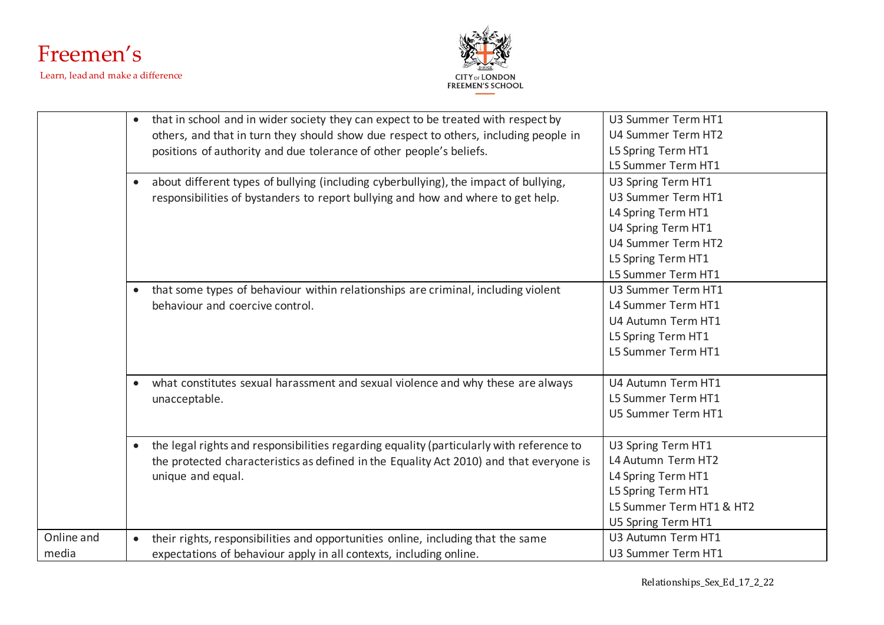



|            | $\bullet$ | that in school and in wider society they can expect to be treated with respect by        | U3 Summer Term HT1       |
|------------|-----------|------------------------------------------------------------------------------------------|--------------------------|
|            |           | others, and that in turn they should show due respect to others, including people in     | U4 Summer Term HT2       |
|            |           | positions of authority and due tolerance of other people's beliefs.                      | L5 Spring Term HT1       |
|            |           |                                                                                          | L5 Summer Term HT1       |
|            | $\bullet$ | about different types of bullying (including cyberbullying), the impact of bullying,     | U3 Spring Term HT1       |
|            |           | responsibilities of bystanders to report bullying and how and where to get help.         | U3 Summer Term HT1       |
|            |           |                                                                                          | L4 Spring Term HT1       |
|            |           |                                                                                          | U4 Spring Term HT1       |
|            |           |                                                                                          | U4 Summer Term HT2       |
|            |           |                                                                                          | L5 Spring Term HT1       |
|            |           |                                                                                          | L5 Summer Term HT1       |
|            | $\bullet$ | that some types of behaviour within relationships are criminal, including violent        | U3 Summer Term HT1       |
|            |           | behaviour and coercive control.                                                          | L4 Summer Term HT1       |
|            |           |                                                                                          | U4 Autumn Term HT1       |
|            |           |                                                                                          | L5 Spring Term HT1       |
|            |           |                                                                                          | L5 Summer Term HT1       |
|            |           |                                                                                          |                          |
|            |           | what constitutes sexual harassment and sexual violence and why these are always          | U4 Autumn Term HT1       |
|            |           | unacceptable.                                                                            | L5 Summer Term HT1       |
|            |           |                                                                                          | U5 Summer Term HT1       |
|            |           |                                                                                          |                          |
|            | $\bullet$ | the legal rights and responsibilities regarding equality (particularly with reference to | U3 Spring Term HT1       |
|            |           | the protected characteristics as defined in the Equality Act 2010) and that everyone is  | L4 Autumn Term HT2       |
|            |           | unique and equal.                                                                        | L4 Spring Term HT1       |
|            |           |                                                                                          | L5 Spring Term HT1       |
|            |           |                                                                                          | L5 Summer Term HT1 & HT2 |
|            |           |                                                                                          | U5 Spring Term HT1       |
| Online and | $\bullet$ | their rights, responsibilities and opportunities online, including that the same         | U3 Autumn Term HT1       |
| media      |           | expectations of behaviour apply in all contexts, including online.                       | U3 Summer Term HT1       |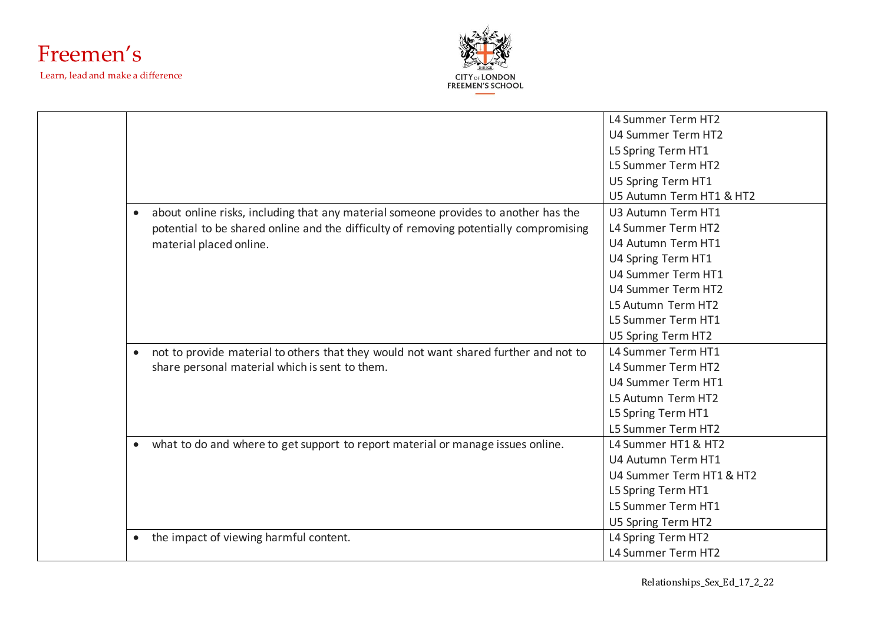



|                                                                                                   | L4 Summer Term HT2       |
|---------------------------------------------------------------------------------------------------|--------------------------|
|                                                                                                   | U4 Summer Term HT2       |
|                                                                                                   | L5 Spring Term HT1       |
|                                                                                                   | L5 Summer Term HT2       |
|                                                                                                   | U5 Spring Term HT1       |
|                                                                                                   | U5 Autumn Term HT1 & HT2 |
| about online risks, including that any material someone provides to another has the<br>$\bullet$  | U3 Autumn Term HT1       |
| potential to be shared online and the difficulty of removing potentially compromising             | L4 Summer Term HT2       |
| material placed online.                                                                           | U4 Autumn Term HT1       |
|                                                                                                   | U4 Spring Term HT1       |
|                                                                                                   | U4 Summer Term HT1       |
|                                                                                                   | U4 Summer Term HT2       |
|                                                                                                   | L5 Autumn Term HT2       |
|                                                                                                   | L5 Summer Term HT1       |
|                                                                                                   | U5 Spring Term HT2       |
| not to provide material to others that they would not want shared further and not to<br>$\bullet$ | L4 Summer Term HT1       |
| share personal material which is sent to them.                                                    | L4 Summer Term HT2       |
|                                                                                                   | U4 Summer Term HT1       |
|                                                                                                   | L5 Autumn Term HT2       |
|                                                                                                   | L5 Spring Term HT1       |
|                                                                                                   | L5 Summer Term HT2       |
| what to do and where to get support to report material or manage issues online.<br>$\bullet$      | L4 Summer HT1 & HT2      |
|                                                                                                   | U4 Autumn Term HT1       |
|                                                                                                   | U4 Summer Term HT1 & HT2 |
|                                                                                                   | L5 Spring Term HT1       |
|                                                                                                   | L5 Summer Term HT1       |
|                                                                                                   | U5 Spring Term HT2       |
| the impact of viewing harmful content.<br>$\bullet$                                               | L4 Spring Term HT2       |
|                                                                                                   | L4 Summer Term HT2       |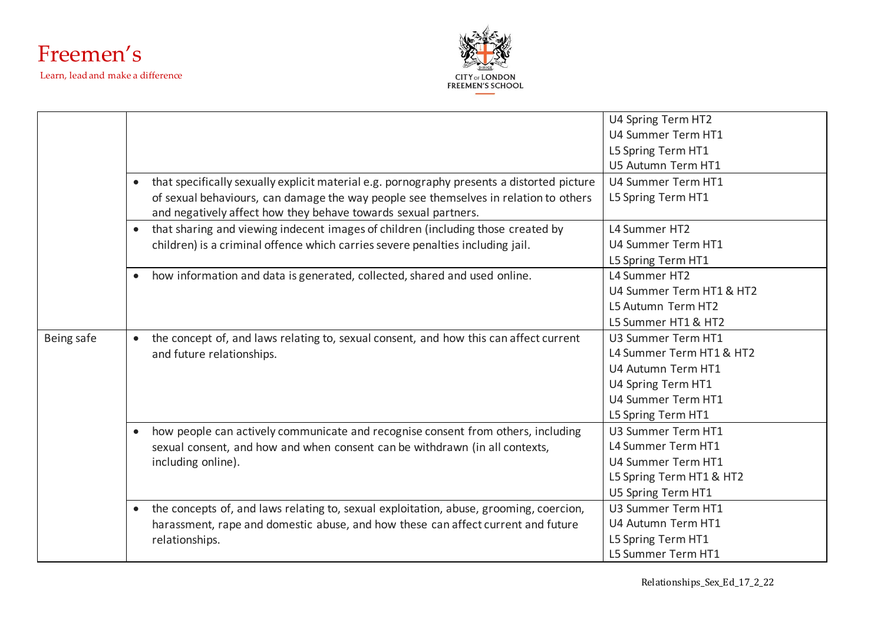



|            |                                                                                                         | U4 Spring Term HT2       |
|------------|---------------------------------------------------------------------------------------------------------|--------------------------|
|            |                                                                                                         | U4 Summer Term HT1       |
|            |                                                                                                         | L5 Spring Term HT1       |
|            |                                                                                                         | U5 Autumn Term HT1       |
|            | that specifically sexually explicit material e.g. pornography presents a distorted picture<br>$\bullet$ | U4 Summer Term HT1       |
|            | of sexual behaviours, can damage the way people see themselves in relation to others                    | L5 Spring Term HT1       |
|            | and negatively affect how they behave towards sexual partners.                                          |                          |
|            | that sharing and viewing indecent images of children (including those created by<br>$\bullet$           | L4 Summer HT2            |
|            | children) is a criminal offence which carries severe penalties including jail.                          | U4 Summer Term HT1       |
|            |                                                                                                         | L5 Spring Term HT1       |
|            | how information and data is generated, collected, shared and used online.<br>$\bullet$                  | L4 Summer HT2            |
|            |                                                                                                         | U4 Summer Term HT1 & HT2 |
|            |                                                                                                         | L5 Autumn Term HT2       |
|            |                                                                                                         | L5 Summer HT1 & HT2      |
| Being safe | the concept of, and laws relating to, sexual consent, and how this can affect current<br>$\bullet$      | U3 Summer Term HT1       |
|            | and future relationships.                                                                               | L4 Summer Term HT1 & HT2 |
|            |                                                                                                         | U4 Autumn Term HT1       |
|            |                                                                                                         | U4 Spring Term HT1       |
|            |                                                                                                         | U4 Summer Term HT1       |
|            |                                                                                                         | L5 Spring Term HT1       |
|            | how people can actively communicate and recognise consent from others, including<br>$\bullet$           | U3 Summer Term HT1       |
|            | sexual consent, and how and when consent can be withdrawn (in all contexts,                             | L4 Summer Term HT1       |
|            | including online).                                                                                      | U4 Summer Term HT1       |
|            |                                                                                                         | L5 Spring Term HT1 & HT2 |
|            |                                                                                                         | U5 Spring Term HT1       |
|            | the concepts of, and laws relating to, sexual exploitation, abuse, grooming, coercion,<br>$\bullet$     | U3 Summer Term HT1       |
|            | harassment, rape and domestic abuse, and how these can affect current and future                        | U4 Autumn Term HT1       |
|            | relationships.                                                                                          | L5 Spring Term HT1       |
|            |                                                                                                         | L5 Summer Term HT1       |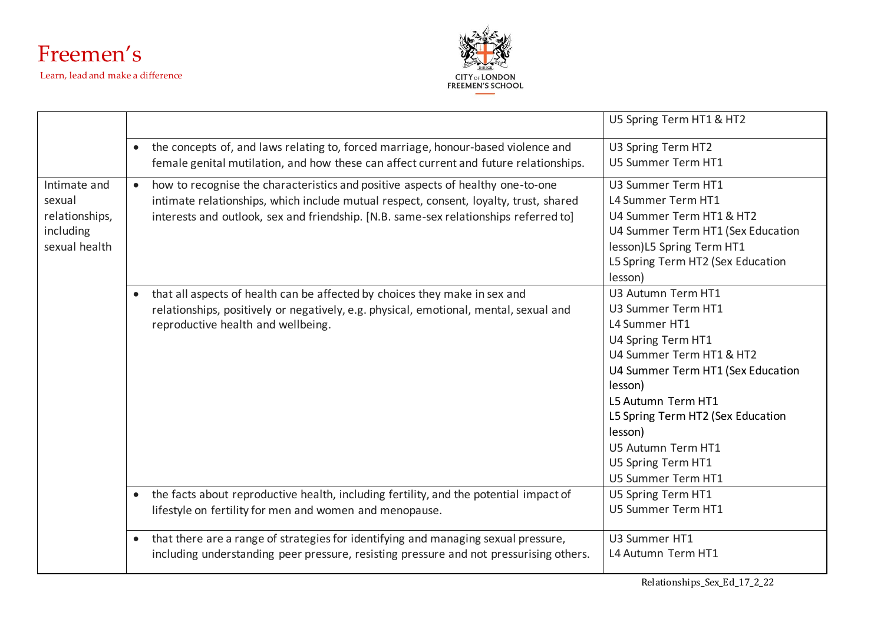



|                                                                        |           |                                                                                                                                                                                                                                                                  | U5 Spring Term HT1 & HT2                                                                                                                                                                                                                                                                            |
|------------------------------------------------------------------------|-----------|------------------------------------------------------------------------------------------------------------------------------------------------------------------------------------------------------------------------------------------------------------------|-----------------------------------------------------------------------------------------------------------------------------------------------------------------------------------------------------------------------------------------------------------------------------------------------------|
|                                                                        | $\bullet$ | the concepts of, and laws relating to, forced marriage, honour-based violence and<br>female genital mutilation, and how these can affect current and future relationships.                                                                                       | U3 Spring Term HT2<br>U5 Summer Term HT1                                                                                                                                                                                                                                                            |
| Intimate and<br>sexual<br>relationships,<br>including<br>sexual health | $\bullet$ | how to recognise the characteristics and positive aspects of healthy one-to-one<br>intimate relationships, which include mutual respect, consent, loyalty, trust, shared<br>interests and outlook, sex and friendship. [N.B. same-sex relationships referred to] | U3 Summer Term HT1<br>L4 Summer Term HT1<br>U4 Summer Term HT1 & HT2<br>U4 Summer Term HT1 (Sex Education<br>lesson)L5 Spring Term HT1<br>L5 Spring Term HT2 (Sex Education<br>lesson)                                                                                                              |
|                                                                        | $\bullet$ | that all aspects of health can be affected by choices they make in sex and<br>relationships, positively or negatively, e.g. physical, emotional, mental, sexual and<br>reproductive health and wellbeing.                                                        | U3 Autumn Term HT1<br>U3 Summer Term HT1<br>L4 Summer HT1<br>U4 Spring Term HT1<br>U4 Summer Term HT1 & HT2<br>U4 Summer Term HT1 (Sex Education<br>lesson)<br>L5 Autumn Term HT1<br>L5 Spring Term HT2 (Sex Education<br>lesson)<br>U5 Autumn Term HT1<br>U5 Spring Term HT1<br>U5 Summer Term HT1 |
|                                                                        | $\bullet$ | the facts about reproductive health, including fertility, and the potential impact of<br>lifestyle on fertility for men and women and menopause.                                                                                                                 | U5 Spring Term HT1<br>U5 Summer Term HT1                                                                                                                                                                                                                                                            |
|                                                                        | $\bullet$ | that there are a range of strategies for identifying and managing sexual pressure,<br>including understanding peer pressure, resisting pressure and not pressurising others.                                                                                     | U3 Summer HT1<br>L4 Autumn Term HT1                                                                                                                                                                                                                                                                 |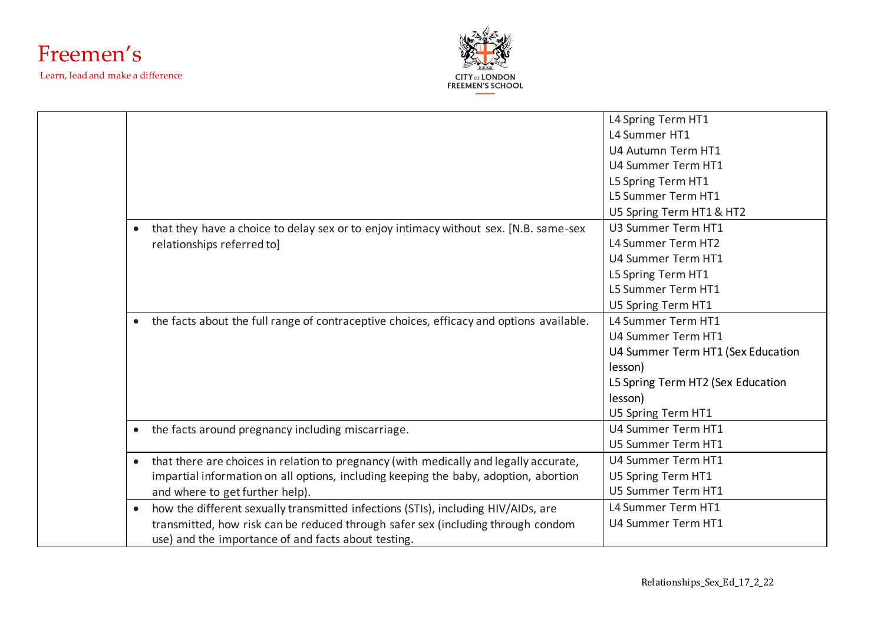



|                                                                                                       | L4 Spring Term HT1                |
|-------------------------------------------------------------------------------------------------------|-----------------------------------|
|                                                                                                       | L4 Summer HT1                     |
|                                                                                                       | U4 Autumn Term HT1                |
|                                                                                                       | U4 Summer Term HT1                |
|                                                                                                       | L5 Spring Term HT1                |
|                                                                                                       | L5 Summer Term HT1                |
|                                                                                                       | U5 Spring Term HT1 & HT2          |
| that they have a choice to delay sex or to enjoy intimacy without sex. [N.B. same-sex                 | U3 Summer Term HT1                |
| relationships referred to]                                                                            | L4 Summer Term HT2                |
|                                                                                                       | U4 Summer Term HT1                |
|                                                                                                       | L5 Spring Term HT1                |
|                                                                                                       | L5 Summer Term HT1                |
|                                                                                                       | U5 Spring Term HT1                |
| the facts about the full range of contraceptive choices, efficacy and options available.<br>$\bullet$ | L4 Summer Term HT1                |
|                                                                                                       | U4 Summer Term HT1                |
|                                                                                                       | U4 Summer Term HT1 (Sex Education |
|                                                                                                       | lesson)                           |
|                                                                                                       | L5 Spring Term HT2 (Sex Education |
|                                                                                                       | lesson)                           |
|                                                                                                       | U5 Spring Term HT1                |
| the facts around pregnancy including miscarriage.<br>$\bullet$                                        | U4 Summer Term HT1                |
|                                                                                                       | U5 Summer Term HT1                |
| that there are choices in relation to pregnancy (with medically and legally accurate,<br>$\bullet$    | U4 Summer Term HT1                |
| impartial information on all options, including keeping the baby, adoption, abortion                  | U5 Spring Term HT1                |
| and where to get further help).                                                                       | U5 Summer Term HT1                |
| how the different sexually transmitted infections (STIs), including HIV/AIDs, are                     | L4 Summer Term HT1                |
| transmitted, how risk can be reduced through safer sex (including through condom                      | U4 Summer Term HT1                |
| use) and the importance of and facts about testing.                                                   |                                   |
|                                                                                                       |                                   |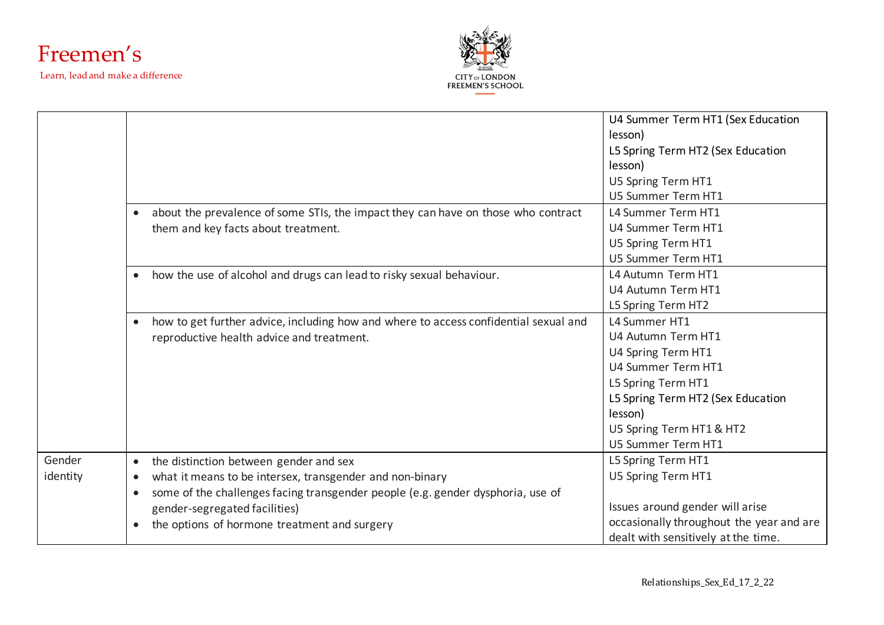



|                    |                                                                                                                                                                                                                                                                                                  | U4 Summer Term HT1 (Sex Education<br>lesson)<br>L5 Spring Term HT2 (Sex Education<br>lesson)<br>U5 Spring Term HT1                                                                                      |
|--------------------|--------------------------------------------------------------------------------------------------------------------------------------------------------------------------------------------------------------------------------------------------------------------------------------------------|---------------------------------------------------------------------------------------------------------------------------------------------------------------------------------------------------------|
|                    |                                                                                                                                                                                                                                                                                                  | U5 Summer Term HT1                                                                                                                                                                                      |
|                    | about the prevalence of some STIs, the impact they can have on those who contract<br>$\bullet$<br>them and key facts about treatment.                                                                                                                                                            | L4 Summer Term HT1<br>U4 Summer Term HT1<br>U5 Spring Term HT1                                                                                                                                          |
|                    | how the use of alcohol and drugs can lead to risky sexual behaviour.<br>$\bullet$                                                                                                                                                                                                                | U5 Summer Term HT1<br>L4 Autumn Term HT1<br>U4 Autumn Term HT1<br>L5 Spring Term HT2                                                                                                                    |
|                    | how to get further advice, including how and where to access confidential sexual and<br>$\bullet$<br>reproductive health advice and treatment.                                                                                                                                                   | L4 Summer HT1<br>U4 Autumn Term HT1<br>U4 Spring Term HT1<br>U4 Summer Term HT1<br>L5 Spring Term HT1<br>L5 Spring Term HT2 (Sex Education<br>lesson)<br>U5 Spring Term HT1 & HT2<br>U5 Summer Term HT1 |
| Gender<br>identity | the distinction between gender and sex<br>$\bullet$<br>what it means to be intersex, transgender and non-binary<br>some of the challenges facing transgender people (e.g. gender dysphoria, use of<br>$\bullet$<br>gender-segregated facilities)<br>the options of hormone treatment and surgery | L5 Spring Term HT1<br>U5 Spring Term HT1<br>Issues around gender will arise<br>occasionally throughout the year and are<br>dealt with sensitively at the time.                                          |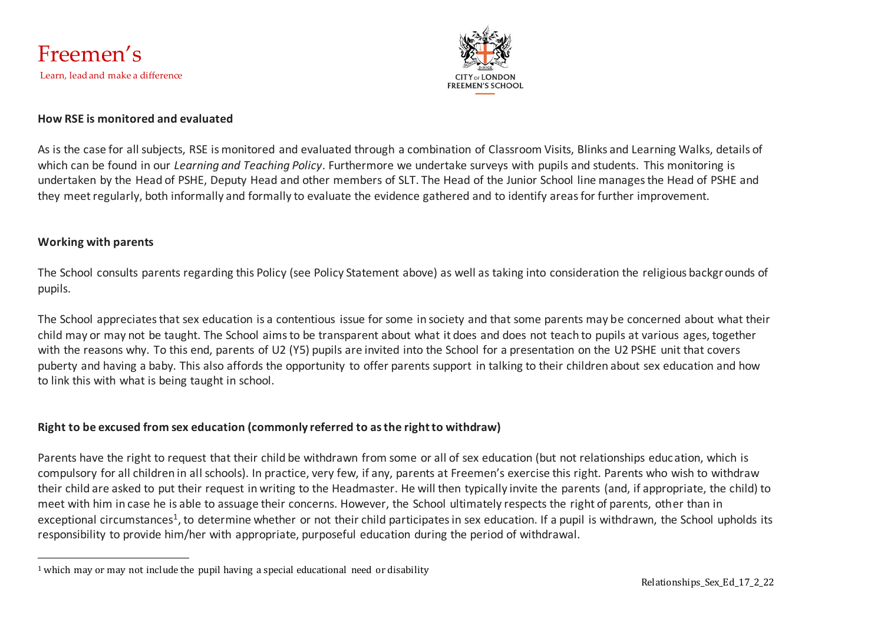



#### **How RSE is monitored and evaluated**

As is the case for all subjects, RSE is monitored and evaluated through a combination of Classroom Visits, Blinks and Learning Walks, details of which can be found in our *Learning and Teaching Policy*. Furthermore we undertake surveys with pupils and students. This monitoring is undertaken by the Head of PSHE, Deputy Head and other members of SLT. The Head of the Junior School line manages the Head of PSHE and they meet regularly, both informally and formally to evaluate the evidence gathered and to identify areas for further improvement.

#### **Working with parents**

The School consults parents regarding this Policy (see Policy Statement above) as well as taking into consideration the religious backgrounds of pupils.

The School appreciates that sex education is a contentious issue for some in society and that some parents may be concerned about what their child may or may not be taught. The School aims to be transparent about what it does and does not teach to pupils at various ages, together with the reasons why. To this end, parents of U2 (Y5) pupils are invited into the School for a presentation on the U2 PSHE unit that covers puberty and having a baby. This also affords the opportunity to offer parents support in talking to their children about sex education and how to link this with what is being taught in school.

#### **Right to be excused from sex education (commonly referred to as the right to withdraw)**

Parents have the right to request that their child be withdrawn from some or all of sex education (but not relationships education, which is compulsory for all children in all schools). In practice, very few, if any, parents at Freemen's exercise this right. Parents who wish to withdraw their child are asked to put their request in writing to the Headmaster. He will then typically invite the parents (and, if appropriate, the child) to meet with him in case he is able to assuage their concerns. However, the School ultimately respects the right of parents, other than in exceptional circumstances<sup>1</sup>, to determine whether or not their child participates in sex education. If a pupil is withdrawn, the School upholds its responsibility to provide him/her with appropriate, purposeful education during the period of withdrawal.

<sup>1</sup> which may or may not include the pupil having a special educational need or disability